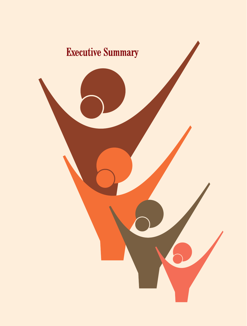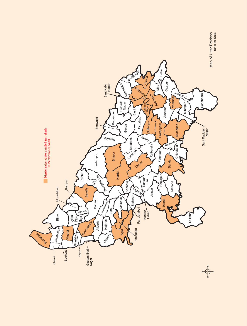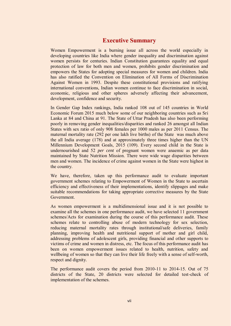# **Executive Summary**

Women Empowerment is a burning issue all across the world especially in developing countries like India where gender inequality and discrimination against women persists for centuries. Indian Constitution guarantees equality and equal protection of law for both men and women, prohibits gender discrimination and empowers the States for adopting special measures for women and children. India has also ratified the Convention on Elimination of All Forms of Discrimination Against Women in 1993. Despite these constitutional provisions and ratifying international conventions, Indian women continue to face discrimination in social, economic, religious and other spheres adversely affecting their advancement, development, confidence and security.

In Gender Gap Index rankings, India ranked 108 out of 145 countries in World Economic Forum 2015 much below some of our neighboring countries such as Sri Lanka at 84 and China at 91. The State of Uttar Pradesh has also been performing poorly in removing gender inequalities/disparities and ranked 26 amongst all Indian States with sex ratio of only 908 females per 1000 males as per 2011 Census. The maternal mortality rate (292 per one lakh live births) of the State was much above the all India average (178) and at approximately three times higher than the UN Millennium Development Goals, 2015 (109). Every second child in the State is undernourished and 52 *per cent* of pregnant women were anaemic as per data maintained by State Nutrition Mission. There were wide wage disparities between men and women. The incidence of crime against women in the State were highest in the country.

We have, therefore, taken up this performance audit to evaluate important government schemes relating to Empowerment of Women in the State to ascertain efficiency and effectiveness of their implementations, identify slippages and make suitable recommendations for taking appropriate corrective measures by the State Government.

As women empowerment is a multidimensional issue and it is not possible to examine all the schemes in one performance audit, we have selected 11 government schemes/Acts for examination during the course of this performance audit. These schemes relate to controlling abuse of modern technology for sex selection, reducing maternal mortality rates through institutional/safe deliveries, family planning, improving health and nutritional support of mother and girl child, addressing problems of adolescent girls, providing financial and other supports to victims of crime and women in distress, etc. The focus of this performance audit has been on women empowerment issues related to health, nutrition, safety and wellbeing of women so that they can live their life freely with a sense of self-worth, respect and dignity.

The performance audit covers the period from 2010-11 to 2014-15. Out of 75 districts of the State, 20 districts were selected for detailed test-check of implementation of the schemes.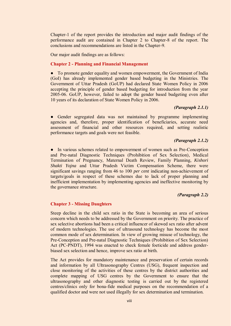Chapter-1 of the report provides the introduction and major audit findings of the performance audit are contained in Chapter 2 to Chapter-8 of the report. The conclusions and recommendations are listed in the Chapter-9.

Our major audit findings are as follows:

#### **Chapter 2 - Planning and Financial Management**

• To promote gender equality and women empowerment, the Government of India (GoI) has already implemented gender based budgeting in the Ministries. The Government of Uttar Pradesh (GoUP) had declared State Women Policy in 2006 accepting the principle of gender based budgeting for introduction from the year 2005-06. GoUP, however, failed to adopt the gender based budgeting even after 10 years of its declaration of State Women Policy in 2006.

#### *(Paragraph 2.1.1)*

● Gender segregated data was not maintained by programme implementing agencies and, therefore, proper identification of beneficiaries, accurate need assessment of financial and other resources required, and setting realistic performance targets and goals were not feasible.

# *(Paragraph 2.1.2)*

• In various schemes related to empowerment of women such as Pre-Conception and Pre-natal Diagnostic Techniques (Prohibition of Sex Selection), Medical Termination of Pregnancy, Maternal Death Review, Family Planning, *Kishori Shakti Yojna* and Uttar Pradesh Victim Compensation Scheme, there were significant savings ranging from 46 to 100 *per cent* indicating non-achievement of targets/goals in respect of these schemes due to lack of proper planning and inefficient implementation by implementing agencies and ineffective monitoring by the governance structure.

# *(Paragraph 2.2)*

#### **Chapter 3 - Missing Daughters**

Steep decline in the child sex ratio in the State is becoming an area of serious concern which needs to be addressed by the Government on priority. The practice of sex selective abortions had been a critical influencer of skewed sex ratio after advent of modern technologies. The use of ultrasound technology has become the most common mode of sex determination. In view of growing misuse of technology, the Pre-Conception and Pre-natal Diagnostic Techniques (Prohibition of Sex Selection) Act (PC-PNDT), 1994 was enacted to check female foeticide and address genderbiased sex selection and hence, improve sex ratio at birth.

The Act provides for mandatory maintenance and preservation of certain records and information by all Ultrasonography Centres (USG), frequent inspection and close monitoring of the activities of these centres by the district authorities and complete mapping of USG centres by the Government to ensure that the ultrasonography and other diagnostic testing is carried out by the registered centres/clinics only for bona-fide medical purposes on the recommendation of a qualified doctor and were not used illegally for sex determination and termination.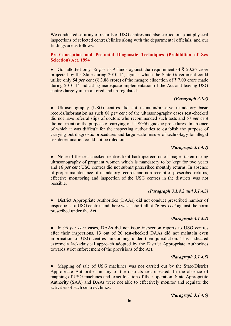We conducted scrutiny of records of USG centres and also carried out joint physical inspections of selected centres/clinics along with the departmental officials, and our findings are as follows:

# **Pre-Conception and Pre-natal Diagnostic Techniques (Prohibition of Sex Selection) Act, 1994**

• GoI allotted only 35 *per cent* funds against the requirement of  $\bar{\tau}$  20.26 crore projected by the State during 2010-14, against which the State Government could utilise only 54 *per cent* ( $\overline{\xi}$  3.86 crore) of the meagre allocation of  $\overline{\xi}$  7.09 crore made during 2010-14 indicating inadequate implementation of the Act and leaving USG centres largely un-monitored and un-regulated.

# *(Paragraph 3.1.3)*

• Ultrasonography (USG) centres did not maintain/preserve mandatory basic records/information as such 68 *per cent* of the ultrasonography cases test-checked did not have referral slips of doctors who recommended such tests and 57 *per cent* did not mention the purpose of carrying out USG/diagnostic procedures. In absence of which it was difficult for the inspecting authorities to establish the purpose of carrying out diagnostic procedures and large scale misuse of technology for illegal sex determination could not be ruled out.

# *(Paragraph 3.1.4.2)*

• None of the test checked centres kept backups/records of images taken during ultrasonography of pregnant women which is mandatory to be kept for two years and 16 *per cent* USG centres did not submit prescribed monthly returns. In absence of proper maintenance of mandatory records and non-receipt of prescribed returns, effective monitoring and inspection of the USG centres in the districts was not possible.

# *(Paragraph 3.1.4.2 and 3.1.4.3)*

• District Appropriate Authorities (DAAs) did not conduct prescribed number of inspections of USG centres and there was a shortfall of 76 *per cent* against the norm prescribed under the Act.

# *(Paragraph 3.1.4.4)*

● In 96 *per cent* cases, DAAs did not issue inspection reports to USG centres after their inspections. 13 out of 20 test-checked DAAs did not maintain even information of USG centres functioning under their jurisdiction. This indicated extremely lackadaisical approach adopted by the District Appropriate Authorities towards strict enforcement of the provisions of the Act.

# *(Paragraph 3.1.4.5)*

• Mapping of sale of USG machines was not carried out by the State/District Appropriate Authorities in any of the districts test checked. In the absence of mapping of USG machines and exact location of their operation, State Appropriate Authority (SAA) and DAAs were not able to effectively monitor and regulate the activities of such centres/clinics.

*(Paragraph 3.1.4.6)*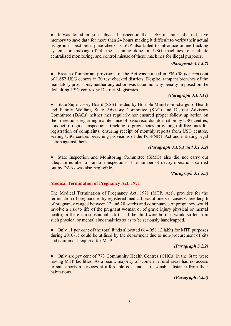● It was found in joint physical inspection that USG machines did not have memory to save data for more than 24 hours making it difficult to verify their actual usage in inspection/surprise checks. GoUP also failed to introduce online tracking system for tracking of all the scanning done on USG machines to facilitate centralized monitoring, and control misuse of these machines for illegal purposes.

### *(Paragraph 3.1.4.7)*

● Breach of important provisions of the Act was noticed in 936 (58 *per cent*) out of 1,652 USG centres in 20 test checked districts. Despite, rampant breaches of the mandatory provisions, neither any action was taken nor any penalty imposed on the defaulting USG centres by District Magistrates.

# *(Paragraph 3.1.4.11)*

State Supervisory Board (SSB) headed by Hon'ble Minister-in-charge of Health and Family Welfare, State Advisory Committee (SAC) and District Advisory Committee (DACs) neither met regularly nor ensured proper follow up action on their directions regarding maintenance of basic records/information by USG centres, conduct of regular inspections, tracking of pregnancies, providing toll free lines for registration of complaints, ensuring receipt of monthly reports from USG centres, sealing USG centres breaching provisions of the PC-PNDT Act and initiating legal action against them.

# *(Paragraph 3.1.5.1 and 3.1.5.2)*

● State Inspection and Monitoring Committee (SIMC) also did not carry out adequate number of random inspections. The number of decoy operations carried out by DAAs was also negligible.

#### *(Paragraph 3.1.5.3)*

#### **Medical Termination of Pregnancy Act, 1971**

The Medical Termination of Pregnancy Act, 1971 (MTP, Act), provides for the termination of pregnancies by registered medical practitioners in cases where length of pregnancy ranged between 12 and 20 weeks and continuance of pregnancy would involve a risk to life of the pregnant woman or of grave injury physical or mental health; or there is a substantial risk that if the child were born, it would suffer from such physical or mental abnormalities so as to be seriously handicapped.

• Only 11 *per cent* of the total funds allocated ( $\overline{\xi}$  4,058.12 lakh) for MTP purposes during 2010-15 could be utilised by the department due to non-procurement of kits and equipment required for MTP.

#### *(Paragraph 3.2.2)*

● Only six *per cent* of 773 Community Health Centres (CHCs) in the State were having MTP facilities. As a result, majority of women in rural areas had no access to safe abortion services at affordable cost and at reasonable distance from their habitations.

# *(Paragraph 3.2.3)*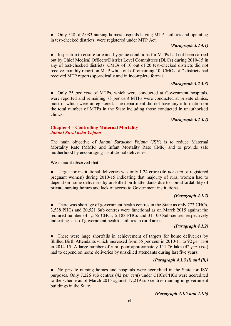• Only 548 of 2,083 nursing homes/hospitals having MTP facilities and operating in test-checked districts, were registered under MTP Act.

# *(Paragraph 3.2.4.1)*

• Inspection to ensure safe and hygienic conditions for MTPs had not been carried out by Chief Medical Officers/District Level Committees (DLCs) during 2010-15 in any of test-checked districts. CMOs of 10 out of 20 test-checked districts did not receive monthly report on MTP while out of remaining 10, CMOs of 7 districts had received MTP reports sporadically and in incomplete format.

# *(Paragraph 3.2.5.3)*

• Only 25 *per cent* of MTPs, which were conducted at Government hospitals, were reported and remaining 75 *per cent* MTPs were conducted at private clinics, most of which were unregistered. The department did not have any information on the total number of MTPs in the State including those conducted in unauthorised clinics.

# *(Paragraph 3.2.5.4)*

# **Chapter 4 – Controlling Maternal Mortality**  *Janani Surakhsha Yojana*

The main objective of *Janani Suraksha Yojana* (JSY) is to reduce Maternal Mortality Rate (MMR) and Infant Mortality Rate (IMR) and to provide safe motherhood by encouraging institutional deliveries.

We in audit observed that:

● Target for institutional deliveries was only 1.24 crore (46 *per cent* of registered pregnant women) during 2010-15 indicating that majority of rural women had to depend on home deliveries by unskilled birth attendants due to non-affordability of private nursing homes and lack of access to Government institutions.

# *(Paragraph 4.1.2)*

• There was shortage of government health centres in the State as only 773 CHCs, 3,538 PHCs and 20,521 Sub centres were functional as on March 2015 against the required number of 1,555 CHCs, 5,183 PHCs and 31,100 Sub-centres respectively indicating lack of government health facilities in rural areas.

# *(Paragraph 4.1.2)*

There were huge shortfalls in achievement of targets for home deliveries by Skilled Birth Attendants which increased from 55 *per cent* in 2010-11 to 92 *per cent* in 2014-15. A large number of rural poor approximately 111.76 lakh (42 *per cent*) had to depend on home deliveries by unskilled attendants during last five years.

# *(Paragraph 4.1.3 (i) and (ii))*

• No private nursing homes and hospitals were accredited in the State for JSY purposes. Only 7,226 sub centres (42 *per cent*) under CHCs/PHCs were accredited to the scheme as of March 2015 against 17,219 sub centres running in government buildings in the State.

# *(Paragraph 4.1.5 and 4.1.6)*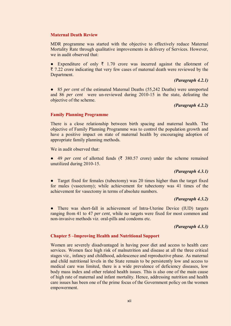#### **Maternal Death Review**

MDR programme was started with the objective to effectively reduce Maternal Mortality Rate through qualitative improvements in delivery of Services. However, we in audit observed that:

• Expenditure of only  $\bar{\tau}$  1.70 crore was incurred against the allotment of  $\bar{\tau}$  7.22 crore indicating that very few cases of maternal death were reviewed by the Department.

#### *(Paragraph 4.2.1)*

● 85 *per cent* of the estimated Maternal Deaths (55,242 Deaths) were unreported and 86 *per cent* were un-reviewed during 2010-15 in the state, defeating the objective of the scheme.

# *(Paragraph 4.2.2)*

# **Family Planning Programme**

There is a close relationship between birth spacing and maternal health. The objective of Family Planning Programme was to control the population growth and have a positive impact on state of maternal health by encouraging adoption of appropriate family planning methods.

We in audit observed that:

• 49 *per cent* of allotted funds ( $\bar{\tau}$  380.57 crore) under the scheme remained unutilized during 2010-15.

# *(Paragraph 4.3.1)*

• Target fixed for females (tubectomy) was 20 times higher than the target fixed for males (vasectomy); while achievement for tubectomy was 41 times of the achievement for vasectomy in terms of absolute numbers.

# *(Paragraph 4.3.2)*

• There was short-fall in achievement of Intra-Uterine Device (IUD) targets ranging from 41 to 47 *per cent*, while no targets were fixed for most common and non-invasive methods viz. oral-pills and condoms etc.

# *(Paragraph 4.3.3)*

#### **Chapter 5 –Improving Health and Nutritional Support**

Women are severely disadvantaged in having poor diet and access to health care services. Women face high risk of malnutrition and disease at all the three critical stages viz., infancy and childhood, adolescence and reproductive phase. As maternal and child nutritional levels in the State remain to be persistently low and access to medical care was limited, there is a wide prevalence of deficiency diseases, low body mass index and other related health issues. This is also one of the main cause of high rate of maternal and infant mortality. Hence, addressing nutrition and health care issues has been one of the prime focus of the Government policy on the women empowerment.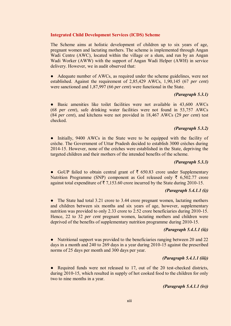#### **Integrated Child Development Services (ICDS) Scheme**

The Scheme aims at holistic development of children up to six years of age, pregnant women and lactating mothers. The scheme is implemented through Angan Wadi Centre (AWC), located within the village or a slum, and run by an Angan Wadi Worker (AWW) with the support of Angan Wadi Helper (AWH) in service delivery. However, we in audit observed that:

• Adequate number of AWCs, as required under the scheme guidelines, were not established. Against the requirement of 2,85,429 AWCs, 1,90,145 (67 *per cent*) were sanctioned and 1,87,997 (66 *per cent*) were functional in the State.

#### *(Paragraph 5.3.1)*

● Basic amenities like toilet facilities were not available in 43,600 AWCs (68 *per cent*), safe drinking water facilities were not found in 53,757 AWCs (84 *per cent*), and kitchens were not provided in 18,467 AWCs (29 *per cent*) test checked.

# *(Paragraph 5.3.2)*

• Initially, 9400 AWCs in the State were to be equipped with the facility of crèche. The Government of Uttar Pradesh decided to establish 3000 crèches during 2014-15. However, none of the crèches were established in the State, depriving the targeted children and their mothers of the intended benefits of the scheme.

#### *(Paragraph 5.3.3)*

• GoUP failed to obtain central grant of  $\bar{\tau}$  650.83 crore under Supplementary Nutrition Programme (SNP) component as GoI released only  $\bar{\tau}$  6,502.77 crore against total expenditure of  $\bar{\tau}$  7,153.60 crore incurred by the State during 2010-15.

# *(Paragraph 5.4.1.1 (i))*

• The State had total 3.21 crore to 3.44 crore pregnant women, lactating mothers and children between six months and six years of age, however, supplementary nutrition was provided to only 2.33 crore to 2.52 crore beneficiaries during 2010-15. Hence, 22 to 32 *per cent* pregnant women, lactating mothers and children were deprived of the benefits of supplementary nutrition programme during 2010-15.

# *(Paragraph 5.4.1.1 (ii))*

• Nutritional support was provided to the beneficiaries ranging between 20 and 22 days in a month and 240 to 269 days in a year during 2010-15 against the prescribed norms of 25 days per month and 300 days per year.

#### *(Paragraph 5.4.1.1 (iii))*

• Required funds were not released to 17, out of the 20 test-checked districts, during 2010-15, which resulted in supply of hot cooked food to the children for only two to nine months in a year.

# *(Paragraph 5.4.1.1 (iv))*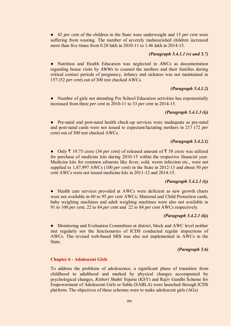● 42 *per cent* of the children in the State were underweight and 15 *per cent* were suffering from wasting. The number of severely malnourished children increased more than five times from 0.28 lakh in 2010-11 to 1.46 lakh in 2014-15.

### *(Paragraph 5.4.1.1 (v) and 5.7)*

● Nutrition and Health Education was neglected in *AWCs* as documentation regarding house visits by *AWWs* to counsel the mothers and their families during critical contact periods of pregnancy, infancy and sickness was not maintained in 157 (52 *per cent*) out of 300 test checked AWCs.

# *(Paragraph 5.4.1.2)*

● Number of girls not attending Pre School Education activities has exponentially increased from three *per cent* in 2010-11 to 33 *per cent* in 2014-15.

# *(Paragraph 5.4.1.3 (i))*

● Pre-natal and post-natal health check-up services were inadequate as pre-natal and post-natal cards were not issued to expectant/lactating mothers in 217 (72 *per cent*) out of 300 test checked AWCs.

# *(Paragraph 5.4.2.1)*

• Only  $\bar{\tau}$  19.75 crore (34 *per cent*) of released amount of  $\bar{\tau}$  58 crore was utilized for purchase of medicine kits during 2010-15 within the respective financial year. Medicine kits for common ailments like fever, cold, worm infection etc., were not supplied to 1,87,997 AWCs (100 *per cent*) in the State in 2012-13 and about 50 *per cent* AWCs were not issued medicine kits in 2011-12 and 2014-15.

# *(Paragraph 5.4.2.1 (i))*

• Health care services provided at AWCs were deficient as new growth charts were not available in 60 to 95 *per cent* AWCs; Maternal and Child Protection cards, baby weighing machines and adult weighing machines were also not available in 91 to 100 *per cent*, 22 to 84 *per cent* and 22 to 84 *per cent* AWCs respectively.

# *(Paragraph 5.4.2.1 (ii))*

• Monitoring and Evaluation Committees at district, block and AWC level neither met regularly nor the functionaries of ICDS conducted regular inspections of AWCs. The revised web-based MIS was also not implemented in AWCs in the State.

# *(Paragraph 5.6)*

# **Chapter 6 - Adolescent Girls**

To address the problems of adolescence, a significant phase of transition from childhood to adulthood and marked by physical changes accompanied by psychological changes, *Kishori Shakti Yojana* (KSY) and Rajiv Gandhi Scheme for Empowerment of Adolescent Girls or Sabla (SABLA) were launched through ICDS platform. The objectives of these schemes were to make adolescent girls (AGs)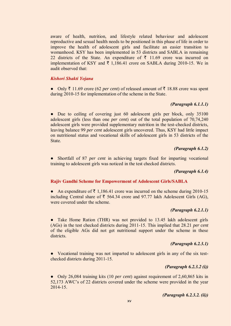aware of health, nutrition, and lifestyle related behaviour and adolescent reproductive and sexual health needs to be positioned in this phase of life in order to improve the health of adolescent girls and facilitate an easier transition to womanhood. KSY has been implemented in 53 districts and SABLA in remaining 22 districts of the State. An expenditure of  $\bar{\tau}$  11.69 crore was incurred on implementation of KSY and  $\bar{\tau}$  1,186.41 crore on SABLA during 2010-15. We in audit observed that:

#### *Kishori Shakti Yojana*

• Only  $\bar{\tau}$  11.69 crore (62 *per cent*) of released amount of  $\bar{\tau}$  18.88 crore was spent during 2010-15 for implementation of the scheme in the State.

# *(Paragraph 6.1.1.1)*

• Due to ceiling of covering just 60 adolescent girls per block, only 35100 adolescent girls (less than one *per cent*) out of the total population of 70,74,240 adolescent girls were provided supplementary nutrition in the test-checked districts, leaving balance 99 *per cent* adolescent girls uncovered. Thus, KSY had little impact on nutritional status and vocational skills of adolescent girls in 53 districts of the State.

#### *(Paragraph 6.1.2)*

● Shortfall of 87 *per cent* in achieving targets fixed for imparting vocational training to adolescent girls was noticed in the test checked districts.

# *(Paragraph 6.1.4)*

#### **Rajiv Gandhi Scheme for Empowerment of Adolescent Girls/SABLA**

• An expenditure of  $\bar{\tau}$  1,186.41 crore was incurred on the scheme during 2010-15 including Central share of  $\bar{\tau}$  564.34 crore and 97.77 lakh Adolescent Girls (AG), were covered under the scheme.

# *(Paragraph 6.2.1.1)*

• Take Home Ration (THR) was not provided to 13.45 lakh adolescent girls (AGs) in the test checked districts during 2011-15. This implied that 28.21 *per cent* of the eligible AGs did not get nutritional support under the scheme in these districts.

# *(Paragraph 6.2.3.1)*

● Vocational training was not imparted to adolescent girls in any of the six testchecked districts during 2011-15.

### *(Paragraph 6.2.3.2 (i))*

● Only 26,084 training kits (10 *per cent*) against requirement of 2,60,865 kits in 52,173 AWC's of 22 districts covered under the scheme were provided in the year 2014-15.

# *(Paragraph 6.2.3.2. (ii))*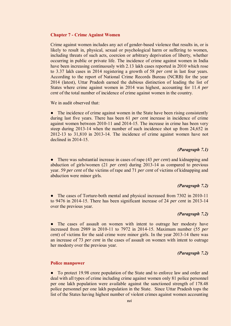#### **Chapter 7 - Crime Against Women**

Crime against women includes any act of gender-based violence that results in, or is likely to result in, physical, sexual or psychological harm or suffering to women, including threats of such acts, coercion or arbitrary deprivation of liberty, whether occurring in public or private life. The incidence of crime against women in India have been increasing continuously with 2.13 lakh cases reported in 2010 which rose to 3.37 lakh cases in 2014 registering a growth of 58 *per cent* in last four years. According to the report of National Crime Records Bureau (NCRB) for the year 2014 (latest), Uttar Pradesh earned the dubious distinction of leading the list of States where crime against women in 2014 was highest, accounting for 11.4 *per cent* of the total number of incidence of crime against women in the country.

We in audit observed that:

• The incidence of crime against women in the State have been rising consistently during last five years. There has been 61 *per cent* increase in incidence of crime against women between 2010-11 and 2014-15. The increase in crime has been very steep during 2013-14 when the number of such incidence shot up from 24,652 in 2012-13 to 31,810 in 2013-14. The incidence of crime against women have not declined in 2014-15.

# *(Paragraph 7.1)*

● There was substantial increase in cases of rape (43 *per cent*) and kidnapping and abduction of girls/women (21 *per cent*) during 2013-14 as compared to previous year. 59 *per cent* of the victims of rape and 71 *per cent* of victims of kidnapping and abduction were minor girls.

# *(Paragraph 7.2)*

The cases of Torture-both mental and physical increased from 7302 in 2010-11 to 9476 in 2014-15. There has been significant increase of 24 *per cent* in 2013-14 over the previous year.

### *(Paragraph 7.2)*

• The cases of assault on women with intent to outrage her modesty have increased from 2989 in 2010-11 to 7972 in 2014-15. Maximum number (55 *per cent*) of victims for the said crime were minor girls. In the year 2013-14 there was an increase of 73 *per cent* in the cases of assault on women with intent to outrage her modesty over the previous year.

# *(Paragraph 7.2)*

#### **Police manpower**

• To protect 19.98 crore population of the State and to enforce law and order and deal with all types of crime including crime against women only 81 police personnel per one lakh population were available against the sanctioned strength of 178.48 police personnel per one lakh population in the State. Since Uttar Pradesh tops the list of the States having highest number of violent crimes against women accounting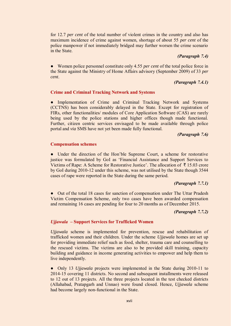for 12.7 *per cent* of the total number of violent crimes in the country and also has maximum incidence of crime against women, shortage of about 55 *per cent* of the police manpower if not immediately bridged may further worsen the crime scenario in the State.

# *(Paragraph 7.4)*

● Women police personnel constitute only 4.55 *per cent* of the total police force in the State against the Ministry of Home Affairs advisory (September 2009) of 33 *per cent*.

# *(Paragraph 7.4.1)*

# **Crime and Criminal Tracking Network and Systems**

• Implementation of Crime and Criminal Tracking Network and Systems (CCTNS) has been considerably delayed in the State. Except for registration of FIRs, other functionalities/ modules of Core Application Software (CAS) are rarely being used by the police stations and higher offices though made functional. Further, citizen centric services envisaged to be made available through police portal and *via* SMS have not yet been made fully functional.

# *(Paragraph 7.6)*

# **Compensation schemes**

• Under the direction of the Hon'ble Supreme Court, a scheme for restorative justice was formulated by GoI as 'Financial Assistance and Support Services to Victims of Rape: A Scheme for Restorative Justice'. The allocation of  $\bar{\tau}$  15.03 crore by GoI during 2010-12 under this scheme, was not utilised by the State though 3544 cases of rape were reported in the State during the same period.

# *(Paragraph 7.7.1)*

Out of the total 18 cases for sanction of compensation under The Uttar Pradesh Victim Compensation Scheme, only two cases have been awarded compensation and remaining 16 cases are pending for four to 20 months as of December 2015.

# *(Paragraph 7.7.2)*

# *Ujjawala* **– Support Services for Trafficked Women**

*Ujjawala* scheme is implemented for prevention, rescue and rehabilitation of trafficked women and their children. Under the scheme *Ujjawala* homes are set up for providing immediate relief such as food, shelter, trauma care and counselling to the rescued victims. The victims are also to be provided skill training, capacity building and guidance in income generating activities to empower and help them to live independently.

● Only 13 *Ujjawala* projects were implemented in the State during 2010-11 to 2014-15 covering 11 districts. No second and subsequent installments were released to 12 out of 13 projects. All the three projects located in the test checked districts (Allahabad, Pratapgarh and Unnao) were found closed. Hence, *Ujjawala* scheme had become largely non-functional in the State.